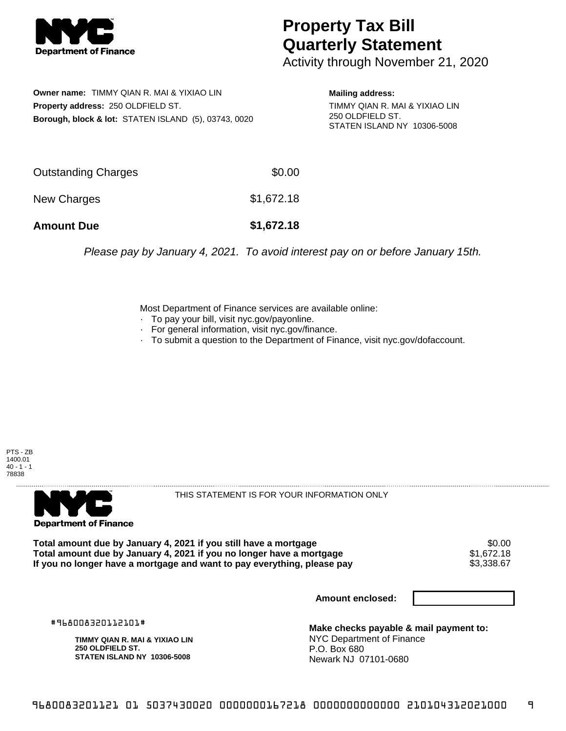

## **Property Tax Bill Quarterly Statement**

Activity through November 21, 2020

**Owner name:** TIMMY QIAN R. MAI & YIXIAO LIN **Property address:** 250 OLDFIELD ST. **Borough, block & lot:** STATEN ISLAND (5), 03743, 0020

**Mailing address:** TIMMY QIAN R. MAI & YIXIAO LIN 250 OLDFIELD ST.

STATEN ISLAND NY 10306-5008

| <b>Amount Due</b>   | \$1,672.18 |
|---------------------|------------|
| New Charges         | \$1,672.18 |
| Outstanding Charges | \$0.00     |

Please pay by January 4, 2021. To avoid interest pay on or before January 15th.

Most Department of Finance services are available online:

- · To pay your bill, visit nyc.gov/payonline.
- For general information, visit nyc.gov/finance.
- · To submit a question to the Department of Finance, visit nyc.gov/dofaccount.

PTS - ZB 1400.01  $40 - 1 - 1$ 78838



THIS STATEMENT IS FOR YOUR INFORMATION ONLY

Total amount due by January 4, 2021 if you still have a mortgage \$0.00<br>Total amount due by January 4, 2021 if you no longer have a mortgage \$1.672.18 **Total amount due by January 4, 2021 if you no longer have a mortgage**  $$1,672.18$ **<br>If you no longer have a mortgage and want to pay everything, please pay**  $$3,338.67$ If you no longer have a mortgage and want to pay everything, please pay

**Amount enclosed:**

#968008320112101#

**TIMMY QIAN R. MAI & YIXIAO LIN 250 OLDFIELD ST. STATEN ISLAND NY 10306-5008**

**Make checks payable & mail payment to:** NYC Department of Finance P.O. Box 680 Newark NJ 07101-0680